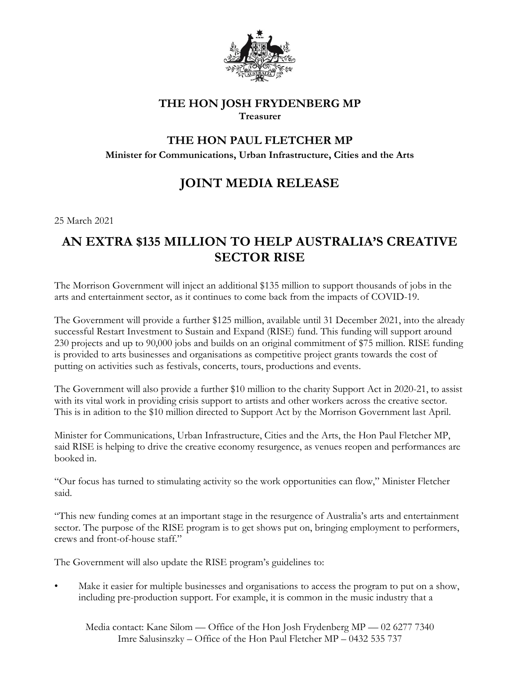

## **THE HON JOSH FRYDENBERG MP Treasurer**

## **THE HON PAUL FLETCHER MP**

**Minister for Communications, Urban Infrastructure, Cities and the Arts** 

## **JOINT MEDIA RELEASE**

25 March 2021

## **AN EXTRA \$135 MILLION TO HELP AUSTRALIA'S CREATIVE SECTOR RISE**

The Morrison Government will inject an additional \$135 million to support thousands of jobs in the arts and entertainment sector, as it continues to come back from the impacts of COVID-19.

The Government will provide a further \$125 million, available until 31 December 2021, into the already successful Restart Investment to Sustain and Expand (RISE) fund. This funding will support around 230 projects and up to 90,000 jobs and builds on an original commitment of \$75 million. RISE funding is provided to arts businesses and organisations as competitive project grants towards the cost of putting on activities such as festivals, concerts, tours, productions and events.

The Government will also provide a further \$10 million to the charity Support Act in 2020-21, to assist with its vital work in providing crisis support to artists and other workers across the creative sector. This is in adition to the \$10 million directed to Support Act by the Morrison Government last April.

Minister for Communications, Urban Infrastructure, Cities and the Arts, the Hon Paul Fletcher MP, said RISE is helping to drive the creative economy resurgence, as venues reopen and performances are booked in.

"Our focus has turned to stimulating activity so the work opportunities can flow," Minister Fletcher said.

"This new funding comes at an important stage in the resurgence of Australia's arts and entertainment sector. The purpose of the RISE program is to get shows put on, bringing employment to performers, crews and front-of-house staff."

The Government will also update the RISE program's guidelines to:

Make it easier for multiple businesses and organisations to access the program to put on a show, including pre-production support. For example, it is common in the music industry that a

Media contact: Kane Silom — Office of the Hon Josh Frydenberg MP — 02 6277 7340 Imre Salusinszky – Office of the Hon Paul Fletcher MP – 0432 535 737